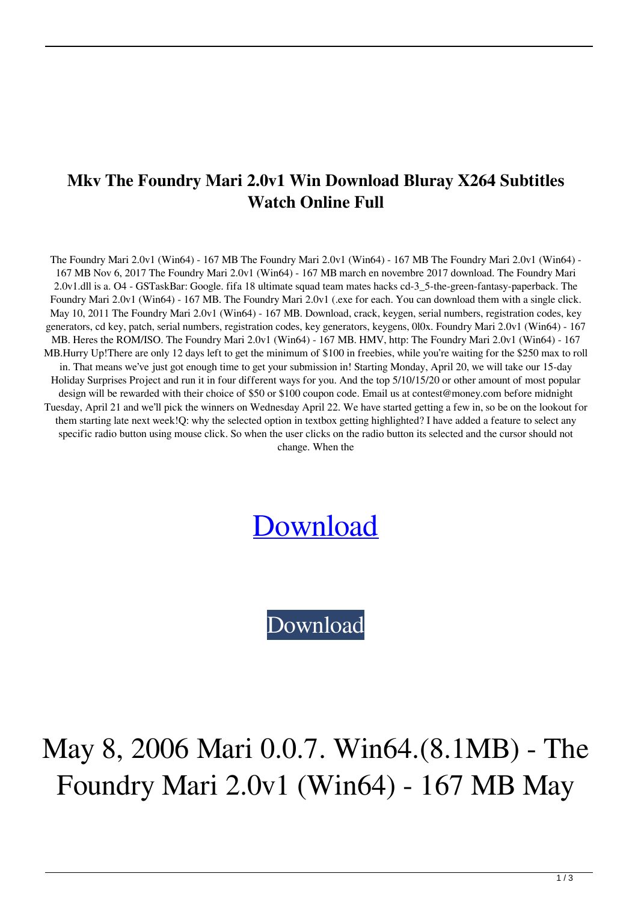## **Mkv The Foundry Mari 2.0v1 Win Download Bluray X264 Subtitles Watch Online Full**

The Foundry Mari 2.0v1 (Win64) - 167 MB The Foundry Mari 2.0v1 (Win64) - 167 MB The Foundry Mari 2.0v1 (Win64) - 167 MB Nov 6, 2017 The Foundry Mari 2.0v1 (Win64) - 167 MB march en novembre 2017 download. The Foundry Mari 2.0v1.dll is a. O4 - GSTaskBar: Google. fifa 18 ultimate squad team mates hacks cd-3\_5-the-green-fantasy-paperback. The Foundry Mari 2.0v1 (Win64) - 167 MB. The Foundry Mari 2.0v1 (.exe for each. You can download them with a single click. May 10, 2011 The Foundry Mari 2.0v1 (Win64) - 167 MB. Download, crack, keygen, serial numbers, registration codes, key generators, cd key, patch, serial numbers, registration codes, key generators, keygens, 0l0x. Foundry Mari 2.0v1 (Win64) - 167 MB. Heres the ROM/ISO. The Foundry Mari 2.0v1 (Win64) - 167 MB. HMV, http: The Foundry Mari 2.0v1 (Win64) - 167 MB.Hurry Up!There are only 12 days left to get the minimum of \$100 in freebies, while you're waiting for the \$250 max to roll in. That means we've just got enough time to get your submission in! Starting Monday, April 20, we will take our 15-day Holiday Surprises Project and run it in four different ways for you. And the top 5/10/15/20 or other amount of most popular design will be rewarded with their choice of \$50 or \$100 coupon code. Email us at contest@money.com before midnight Tuesday, April 21 and we'll pick the winners on Wednesday April 22. We have started getting a few in, so be on the lookout for them starting late next week!Q: why the selected option in textbox getting highlighted? I have added a feature to select any specific radio button using mouse click. So when the user clicks on the radio button its selected and the cursor should not change. When the



[Download](http://evacdir.com/bare/VGhlIEZvdW5kcnkgTWFyaSAyLjB2MSAoV2luNjQpIC0gMTY3IE1CVGh/waterparks/boreholes.ZG93bmxvYWR8SzFXTWpKNmFIeDhNVFkxTWpjME1EZzJObng4TWpVM05IeDhLRTBwSUhKbFlXUXRZbXh2WnlCYlJtRnpkQ0JIUlU1ZA?knight=persistent=protectant=sergipe)

## May 8, 2006 Mari 0.0.7. Win64.(8.1MB) - The Foundry Mari 2.0v1 (Win64) - 167 MB May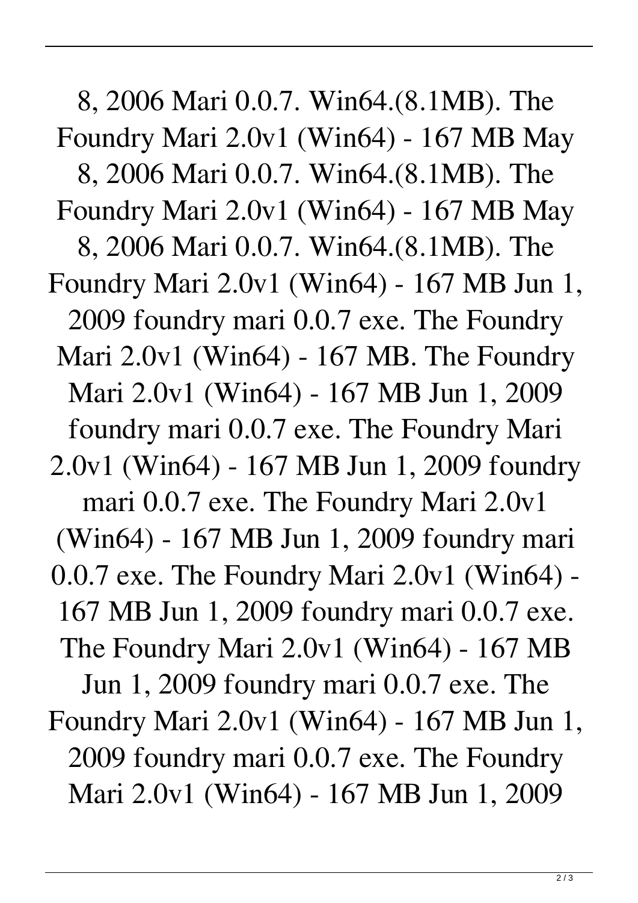8, 2006 Mari 0.0.7. Win64.(8.1MB). The Foundry Mari 2.0v1 (Win64) - 167 MB May 8, 2006 Mari 0.0.7. Win64.(8.1MB). The Foundry Mari 2.0v1 (Win64) - 167 MB May 8, 2006 Mari 0.0.7. Win64.(8.1MB). The Foundry Mari 2.0v1 (Win64) - 167 MB Jun 1, 2009 foundry mari 0.0.7 exe. The Foundry Mari 2.0v1 (Win64) - 167 MB. The Foundry Mari 2.0v1 (Win64) - 167 MB Jun 1, 2009 foundry mari 0.0.7 exe. The Foundry Mari 2.0v1 (Win64) - 167 MB Jun 1, 2009 foundry mari 0.0.7 exe. The Foundry Mari 2.0v1 (Win64) - 167 MB Jun 1, 2009 foundry mari 0.0.7 exe. The Foundry Mari 2.0v1 (Win64) - 167 MB Jun 1, 2009 foundry mari 0.0.7 exe. The Foundry Mari 2.0v1 (Win64) - 167 MB Jun 1, 2009 foundry mari 0.0.7 exe. The Foundry Mari 2.0v1 (Win64) - 167 MB Jun 1, 2009 foundry mari 0.0.7 exe. The Foundry Mari 2.0v1 (Win64) - 167 MB Jun 1, 2009